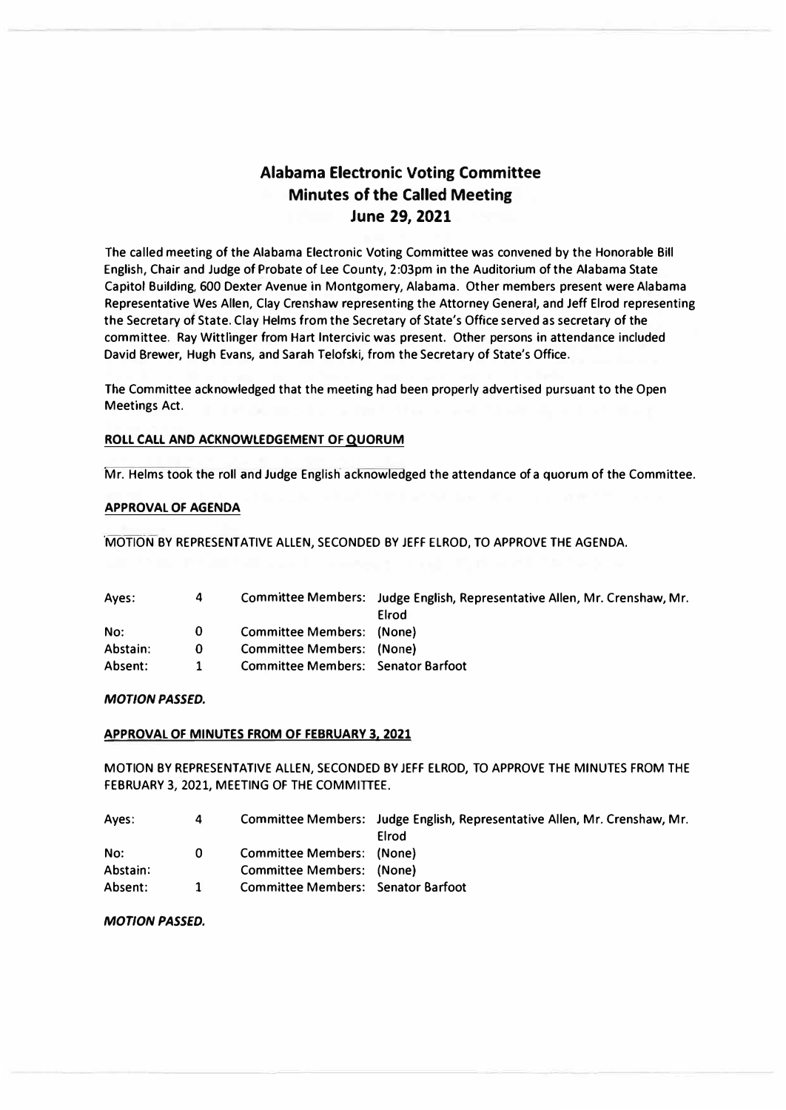# **Alabama Electronic Voting Committee Minutes of the Called Meeting June 29, 2021**

**The called meeting of the Alabama Electronic Voting Committee was convened by the Honorable Bill English, Chair and Judge of Probate of Lee County, 2:03pm in the Auditorium of the Alabama State Capitol Building, 600 Dexter Avenue in Montgomery, Alabama. Other members present were Alabama Representative Wes Allen, Clay Crenshaw representing the Attorney General, and Jeff Elrod representing the Secretary of State. Clay Helms from the Secretary of State's Office served as secretary of the committee. Ray Wittlinger from Hart lntercivic was present. Other persons in attendance included David Brewer, Hugh Evans, and Sarah Telofski, from the Secretary of State's Office.** 

**The Committee acknowledged that the meeting had been properly advertised pursuant to the Open Meetings Act.** 

## **ROLL CALL AND ACKNOWLEDGEMENT OF QUORUM**

**Mr. Helms took the roll and Judge English acknowledged the attendance of a quorum of the Committee.** 

#### **APPROVAL OF AGENDA**

**MOTION BY REPRESENTATIVE ALLEN, SECONDED BY JEFF ELROD, TO APPROVE THE AGENDA.** 

| Aves:    | 4  |                                    | Committee Members: Judge English, Representative Allen, Mr. Crenshaw, Mr. |
|----------|----|------------------------------------|---------------------------------------------------------------------------|
|          |    |                                    | Elrod                                                                     |
| No:      | 0  | Committee Members: (None)          |                                                                           |
| Abstain: | 0  | Committee Members: (None)          |                                                                           |
| Absent:  | 1. | Committee Members: Senator Barfoot |                                                                           |

## *MOTION PASSED.*

#### **APPROVAL OF MINUTES FROM OF FEBRUARY 3, 2021**

**MOTION BY REPRESENTATIVE ALLEN, SECONDED BY JEFF ELROD, TO APPROVE THE MINUTES FROM THE FEBRUARY 3, 2021, MEETING OF THE COMMITTEE.** 

| Aves:    | 4 |                                           | Committee Members: Judge English, Representative Allen, Mr. Crenshaw, Mr. |
|----------|---|-------------------------------------------|---------------------------------------------------------------------------|
|          |   |                                           | Elrod                                                                     |
| No:      | 0 | Committee Members: (None)                 |                                                                           |
| Abstain: |   | Committee Members: (None)                 |                                                                           |
| Absent:  |   | <b>Committee Members: Senator Barfoot</b> |                                                                           |

#### *MOTION PASSED.*